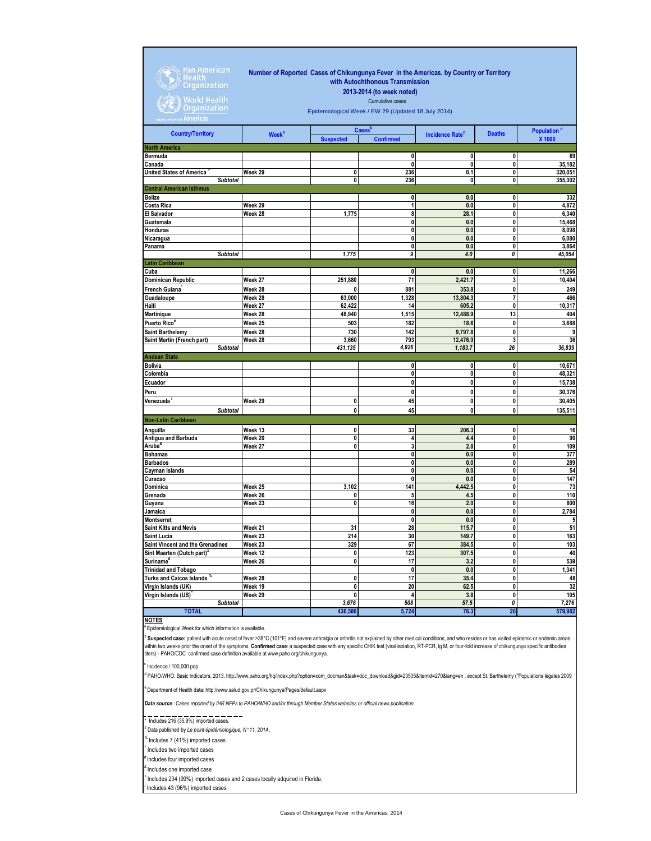| Pan American<br>Health<br><b>Organization</b><br>World Health<br><b>Organization</b> | Number of Reported Cases of Chikungunya Fever in the Americas, by Country or Territory<br>with Autochthonous Transmission<br>2013-2014 (to week noted)<br>Cumulative cases<br>Epidemiological Week / EW 29 (Updated 18 July 2014) |                  |                                               |                                   |               |                                   |  |
|--------------------------------------------------------------------------------------|-----------------------------------------------------------------------------------------------------------------------------------------------------------------------------------------------------------------------------------|------------------|-----------------------------------------------|-----------------------------------|---------------|-----------------------------------|--|
| <b>Americas</b>                                                                      |                                                                                                                                                                                                                                   |                  |                                               |                                   |               |                                   |  |
| <b>Country/Territory</b>                                                             | <b>Week<sup>a</sup></b>                                                                                                                                                                                                           | <b>Suspected</b> | <b>Cases</b> <sup>o</sup><br><b>Confirmed</b> | <b>Incidence Rate<sup>c</sup></b> | <b>Deaths</b> | Population <sup>d</sup><br>X 1000 |  |
| North America                                                                        |                                                                                                                                                                                                                                   |                  |                                               |                                   |               |                                   |  |
| Bermuda                                                                              |                                                                                                                                                                                                                                   |                  | 0                                             | 0                                 | 0             | 69                                |  |
| Canada<br><b>United States of America</b>                                            | Week 29                                                                                                                                                                                                                           | 0                | 0<br>236                                      | 0<br>0.1                          | 0<br>0        | 35,182<br>320,051                 |  |
| <b>Subtotal</b>                                                                      |                                                                                                                                                                                                                                   | 0                | 236                                           | 0                                 | $\mathbf{0}$  | 355,302                           |  |
| Central American Isthmus                                                             |                                                                                                                                                                                                                                   |                  |                                               |                                   |               |                                   |  |
| Belize                                                                               |                                                                                                                                                                                                                                   |                  | 0                                             | 0.0                               | 0             | 332                               |  |
| Costa Rica                                                                           | Week 29                                                                                                                                                                                                                           |                  | 1                                             | 0.0                               | 0             | 4,872                             |  |
| El Salvador                                                                          | Week 28                                                                                                                                                                                                                           | 1,775            | 8                                             | 28.1                              | 0             | 6,340                             |  |
| Guatemala<br>Honduras                                                                |                                                                                                                                                                                                                                   |                  | 0<br>0                                        | 0.0<br>0.0                        | 0<br>0        | 15,468<br>8,098                   |  |
| Nicaragua                                                                            |                                                                                                                                                                                                                                   |                  | $\pmb{0}$                                     | 0.0                               | 0             | 6,080                             |  |
| Panama                                                                               |                                                                                                                                                                                                                                   |                  | 0                                             | 0.0                               | 0             | 3,864                             |  |
| <b>Subtotal</b>                                                                      |                                                                                                                                                                                                                                   | 1,775            | 9                                             | 4.0                               | 0             | 45,054                            |  |
| Latin Caribbean                                                                      |                                                                                                                                                                                                                                   |                  |                                               |                                   |               |                                   |  |
| Cuba                                                                                 |                                                                                                                                                                                                                                   |                  | 0                                             | 0.0                               | 0             | 11,266                            |  |
| Dominican Republic                                                                   | Week 27                                                                                                                                                                                                                           | 251,880          | 71                                            | 2,421.7                           | 3             | 10,404                            |  |
| French Guiana <sup>®</sup>                                                           | Week 28                                                                                                                                                                                                                           | o                | 881                                           | 353.8                             | 0             | 249                               |  |
| Guadaloupe                                                                           | Week 28<br>Week 27                                                                                                                                                                                                                | 63,000           | 1,328                                         | 13,804.3<br>605.2                 | 7<br>0        | 466                               |  |
| Haiti<br>Martinique                                                                  | Week 28                                                                                                                                                                                                                           | 62,422<br>48,940 | 14<br>1,515                                   | 12,488.9                          | 13            | 10,317<br>404                     |  |
| Puerto Rico <sup>e</sup>                                                             | Week 25                                                                                                                                                                                                                           | 503              | 182                                           | 18.6                              | 0             | 3,688                             |  |
| Saint Barthelemy                                                                     | Week 28                                                                                                                                                                                                                           | 730              | 142                                           | 9,797.8                           | 0             | 9                                 |  |
| Saint Martin (French part)                                                           | Week 28                                                                                                                                                                                                                           | 3,660            | 793                                           | 12,476.9                          | 3             | 36                                |  |
| <b>Subtotal</b>                                                                      |                                                                                                                                                                                                                                   | 431,135          | 4,926                                         | 1,183.7                           | 26            | 36,839                            |  |
| <b>Andean State</b>                                                                  |                                                                                                                                                                                                                                   |                  |                                               |                                   |               |                                   |  |
| Bolivia                                                                              |                                                                                                                                                                                                                                   |                  | $\pmb{0}$                                     | 0                                 | 0             | 10,671                            |  |
| Colombia                                                                             |                                                                                                                                                                                                                                   |                  | 0                                             | 0                                 | 0             | 48,321                            |  |
| Ecuador                                                                              |                                                                                                                                                                                                                                   |                  | $\mathbf 0$                                   | 0                                 | 0             | 15,738                            |  |
| Peru                                                                                 |                                                                                                                                                                                                                                   |                  | 0                                             | 0                                 | 0             | 30,376                            |  |
| Venezuela <sup>/</sup>                                                               | Week 29                                                                                                                                                                                                                           | 0                | 45                                            | 0                                 | 0             | 30,405                            |  |
| <b>Subtotal</b>                                                                      |                                                                                                                                                                                                                                   | 0                | 45                                            | 0                                 | 0             | 135,511                           |  |
| Non-Latin Caribbean                                                                  |                                                                                                                                                                                                                                   |                  |                                               |                                   |               |                                   |  |
| Anguilla                                                                             | Week 13                                                                                                                                                                                                                           | 0                | 33                                            | 206.3                             | $\mathbf 0$   | 16                                |  |
| Antigua and Barbuda                                                                  | Week 20                                                                                                                                                                                                                           | 0                | 4                                             | 4.4                               | 0             | 90                                |  |
| Aruba <sup>a</sup>                                                                   | Week 27                                                                                                                                                                                                                           | 0                | 3<br>0                                        | 2.8<br>0.0                        | 0<br>0        | 109                               |  |
| Bahamas<br>Barbados                                                                  |                                                                                                                                                                                                                                   |                  | 0                                             | 0.0                               | 0             | 377<br>289                        |  |
| Cayman Islands                                                                       |                                                                                                                                                                                                                                   |                  | 0                                             | 0.0                               | 0             | 54                                |  |
| Curacao                                                                              |                                                                                                                                                                                                                                   |                  | 0                                             | 0.0                               | 0             | 147                               |  |
| Dominica                                                                             | Week 25                                                                                                                                                                                                                           | 3,102            | 141                                           | 4,442.5                           | 0             | 73                                |  |
| Grenada                                                                              | Week 26                                                                                                                                                                                                                           | 0                | 5                                             | 4.5                               | 0             | 110                               |  |
| Guyana                                                                               | Week 23                                                                                                                                                                                                                           | 0                | 16                                            | 2.0                               | 0             | 800                               |  |
| Jamaica                                                                              |                                                                                                                                                                                                                                   |                  | 0                                             | 0.0                               | 0             | 2,784                             |  |
| Montserrat<br>Saint Kitts and Nevis                                                  | Week 21                                                                                                                                                                                                                           | 31               | 0<br>28                                       | 0.0<br>115.7                      | 0<br>0        | 5<br>51                           |  |
| Saint Lucia                                                                          | Week 23                                                                                                                                                                                                                           | 214              | 30                                            | 149.7                             | $\mathbf{0}$  | 163                               |  |
| <b>Saint Vincent and the Grenadines</b>                                              | Week 23                                                                                                                                                                                                                           | 329              | 67                                            | 384.5                             | 0             | 103                               |  |
| Sint Maarten (Dutch part) <sup>=</sup>                                               | Week 12                                                                                                                                                                                                                           | 0                | 123                                           | 307.5                             | 0             | 40                                |  |
| $\sf{Suriname}^{\boldsymbol{\#}}$                                                    | Week 26                                                                                                                                                                                                                           | $\pmb{0}$        | 17                                            | 3.2                               | 0             | 539                               |  |
| <b>Trinidad and Tobago</b>                                                           |                                                                                                                                                                                                                                   |                  | $\mathbf{0}$                                  | $0.0\,$                           | $\mathbf{0}$  | 1,341                             |  |
| Turks and Caicos Islands $^{\circ}$                                                  | Week 28                                                                                                                                                                                                                           | 0                | 17                                            | 35.4                              | 0             | 48                                |  |
| Virgin Islands (UK)                                                                  | Week 19                                                                                                                                                                                                                           | $\mathbf 0$      | 20                                            | 62.5                              | $\pmb{0}$     | 32                                |  |
| Virgin Islands (US)                                                                  | Week 29                                                                                                                                                                                                                           | $\mathbf{0}$     | $\overline{\mathbf{4}}$                       | 3.8                               | $\mathbf{0}$  | 105                               |  |
| <b>Subtotal</b>                                                                      |                                                                                                                                                                                                                                   | 3,676            | 508                                           | 57.5                              | 0             | 7,276                             |  |
| <b>TOTAL</b>                                                                         |                                                                                                                                                                                                                                   | 436,586          | 5,724                                         | 76.3                              | 26            | 579,982                           |  |
| <b>NOTES</b>                                                                         |                                                                                                                                                                                                                                   |                  |                                               |                                   |               |                                   |  |

**Epidemiological Week for which information is available.** 

<sup>b</sup> Suspected case: patient with acute onset of fever >38°C (101°F) and severe arthralgia or arthritis not explained by other medical conditions, and who resides or has visited epidemic or endemic areas<br>within two weeks pr

c Incidence / 100,000 pop.

d PAHO/WHO. Basic Indicators, 2013. http://www.paho.org/hq/index.php?option=com\_docman&task=doc\_download&gid=23535&Itemid=270&lang=en , except St. Barthelemy ("Populations légales 2009

<sup>a</sup> Department of Health data: http://www.salud.gov.pr/Chikungunya/Pages/default.aspx

*Data source : Cases reported by IHR NFPs to PAHO/WHO and/or through Member States websites or official news publication* 

## \* Includes 216 (35.9%) imported cases.

Ξ Data published by *Le point épidémiologique, N* °*11, 2014* .

% Includes 7 (41%) imported cases

- ^ Includes two imported cases
- # Includes four imported cases
- <sup>3</sup> Includes one imported case

Includes 234 (99%) imported cases and 2 cases locally adquired in Florida.

/ Includes 43 (96%) imported cases